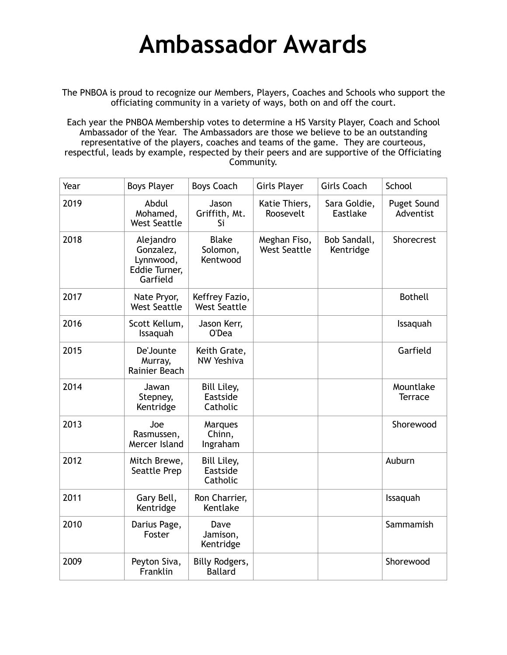## **Ambassador Awards**

The PNBOA is proud to recognize our Members, Players, Coaches and Schools who support the officiating community in a variety of ways, both on and off the court.

Each year the PNBOA Membership votes to determine a HS Varsity Player, Coach and School Ambassador of the Year. The Ambassadors are those we believe to be an outstanding representative of the players, coaches and teams of the game. They are courteous, respectful, leads by example, respected by their peers and are supportive of the Officiating Community.

| Year | <b>Boys Player</b>                                               | <b>Boys Coach</b>                     | <b>Girls Player</b>                 | <b>Girls Coach</b>        | School                          |
|------|------------------------------------------------------------------|---------------------------------------|-------------------------------------|---------------------------|---------------------------------|
| 2019 | Abdul<br>Mohamed,<br><b>West Seattle</b>                         | Jason<br>Griffith, Mt.<br>Si          | Katie Thiers,<br>Roosevelt          | Sara Goldie,<br>Eastlake  | <b>Puget Sound</b><br>Adventist |
| 2018 | Alejandro<br>Gonzalez,<br>Lynnwood,<br>Eddie Turner,<br>Garfield | <b>Blake</b><br>Solomon,<br>Kentwood  | Meghan Fiso,<br><b>West Seattle</b> | Bob Sandall,<br>Kentridge | Shorecrest                      |
| 2017 | Nate Pryor,<br><b>West Seattle</b>                               | Keffrey Fazio,<br><b>West Seattle</b> |                                     |                           | <b>Bothell</b>                  |
| 2016 | Scott Kellum,<br>Issaquah                                        | Jason Kerr,<br>O'Dea                  |                                     |                           | Issaquah                        |
| 2015 | De'Jounte<br>Murray,<br>Rainier Beach                            | Keith Grate,<br><b>NW Yeshiva</b>     |                                     |                           | Garfield                        |
| 2014 | Jawan<br>Stepney,<br>Kentridge                                   | Bill Liley,<br>Eastside<br>Catholic   |                                     |                           | Mountlake<br><b>Terrace</b>     |
| 2013 | Joe<br>Rasmussen,<br>Mercer Island                               | Marques<br>Chinn,<br>Ingraham         |                                     |                           | Shorewood                       |
| 2012 | Mitch Brewe,<br>Seattle Prep                                     | Bill Liley,<br>Eastside<br>Catholic   |                                     |                           | Auburn                          |
| 2011 | Gary Bell,<br>Kentridge                                          | Ron Charrier,<br>Kentlake             |                                     |                           | Issaquah                        |
| 2010 | Darius Page,<br>Foster                                           | Dave<br>Jamison,<br>Kentridge         |                                     |                           | Sammamish                       |
| 2009 | Peyton Siva,<br>Franklin                                         | Billy Rodgers,<br><b>Ballard</b>      |                                     |                           | Shorewood                       |